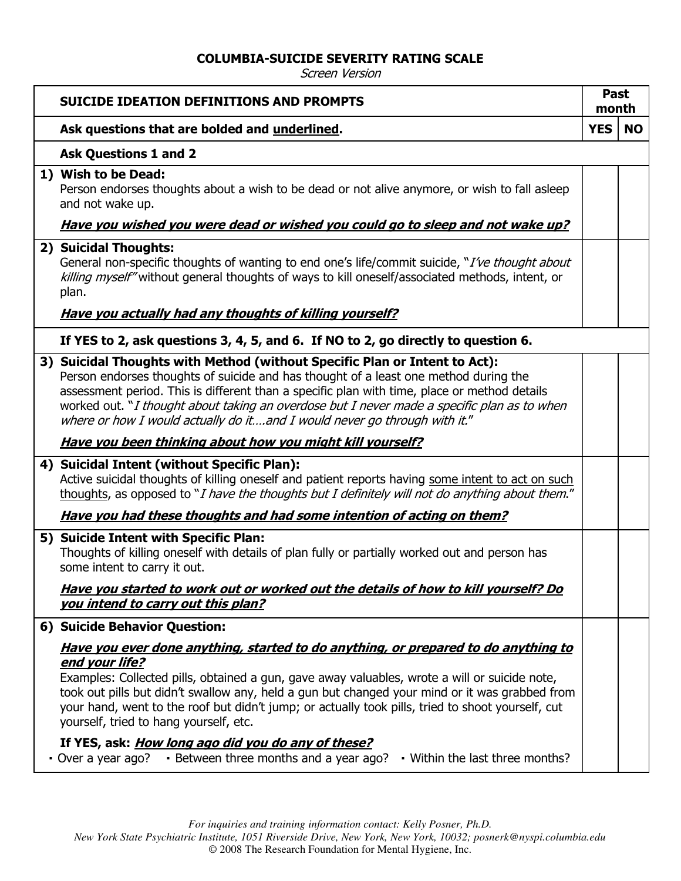## **COLUMBIA-SUICIDE SEVERITY RATING SCALE**

Screen Version

| <b>SUICIDE IDEATION DEFINITIONS AND PROMPTS</b>                                                                                                                                                                                                                                                                                                                                                                                                                                                                                                                                                                                        | <b>Past</b><br>month |           |
|----------------------------------------------------------------------------------------------------------------------------------------------------------------------------------------------------------------------------------------------------------------------------------------------------------------------------------------------------------------------------------------------------------------------------------------------------------------------------------------------------------------------------------------------------------------------------------------------------------------------------------------|----------------------|-----------|
| Ask questions that are bolded and underlined.                                                                                                                                                                                                                                                                                                                                                                                                                                                                                                                                                                                          | <b>YES</b>           | <b>NO</b> |
| <b>Ask Questions 1 and 2</b>                                                                                                                                                                                                                                                                                                                                                                                                                                                                                                                                                                                                           |                      |           |
| 1) Wish to be Dead:<br>Person endorses thoughts about a wish to be dead or not alive anymore, or wish to fall asleep<br>and not wake up.                                                                                                                                                                                                                                                                                                                                                                                                                                                                                               |                      |           |
| Have you wished you were dead or wished you could go to sleep and not wake up?                                                                                                                                                                                                                                                                                                                                                                                                                                                                                                                                                         |                      |           |
| 2) Suicidal Thoughts:<br>General non-specific thoughts of wanting to end one's life/commit suicide, "I've thought about<br>killing myself" without general thoughts of ways to kill oneself/associated methods, intent, or<br>plan.                                                                                                                                                                                                                                                                                                                                                                                                    |                      |           |
| <b>Have you actually had any thoughts of killing yourself?</b>                                                                                                                                                                                                                                                                                                                                                                                                                                                                                                                                                                         |                      |           |
| If YES to 2, ask questions 3, 4, 5, and 6. If NO to 2, go directly to question 6.                                                                                                                                                                                                                                                                                                                                                                                                                                                                                                                                                      |                      |           |
| 3) Suicidal Thoughts with Method (without Specific Plan or Intent to Act):<br>Person endorses thoughts of suicide and has thought of a least one method during the<br>assessment period. This is different than a specific plan with time, place or method details<br>worked out. "I thought about taking an overdose but I never made a specific plan as to when<br>where or how I would actually do itand I would never go through with it."                                                                                                                                                                                         |                      |           |
| <u>Have you been thinking about how you might kill yourself?</u>                                                                                                                                                                                                                                                                                                                                                                                                                                                                                                                                                                       |                      |           |
| 4) Suicidal Intent (without Specific Plan):<br>Active suicidal thoughts of killing oneself and patient reports having some intent to act on such<br>thoughts, as opposed to "I have the thoughts but I definitely will not do anything about them."                                                                                                                                                                                                                                                                                                                                                                                    |                      |           |
| <u>Have you had these thoughts and had some intention of acting on them?</u>                                                                                                                                                                                                                                                                                                                                                                                                                                                                                                                                                           |                      |           |
| 5) Suicide Intent with Specific Plan:<br>Thoughts of killing oneself with details of plan fully or partially worked out and person has<br>some intent to carry it out.                                                                                                                                                                                                                                                                                                                                                                                                                                                                 |                      |           |
| Have you started to work out or worked out the details of how to kill yourself? Do<br>you intend to carry out this plan?                                                                                                                                                                                                                                                                                                                                                                                                                                                                                                               |                      |           |
| 6) Suicide Behavior Question:                                                                                                                                                                                                                                                                                                                                                                                                                                                                                                                                                                                                          |                      |           |
| <u>Have you ever done anything, started to do anything, or prepared to do anything to</u><br>end your life?<br>Examples: Collected pills, obtained a gun, gave away valuables, wrote a will or suicide note,<br>took out pills but didn't swallow any, held a gun but changed your mind or it was grabbed from<br>your hand, went to the roof but didn't jump; or actually took pills, tried to shoot yourself, cut<br>yourself, tried to hang yourself, etc.<br>If YES, ask: <i>How long ago did you do any of these?</i><br>$\cdot$ Between three months and a year ago? $\cdot$ Within the last three months?<br>• Over a year ago? |                      |           |

*New York State Psychiatric Institute, 1051 Riverside Drive, New York, New York, 10032; posnerk@nyspi.columbia.edu* © 2008 The Research Foundation for Mental Hygiene, Inc.